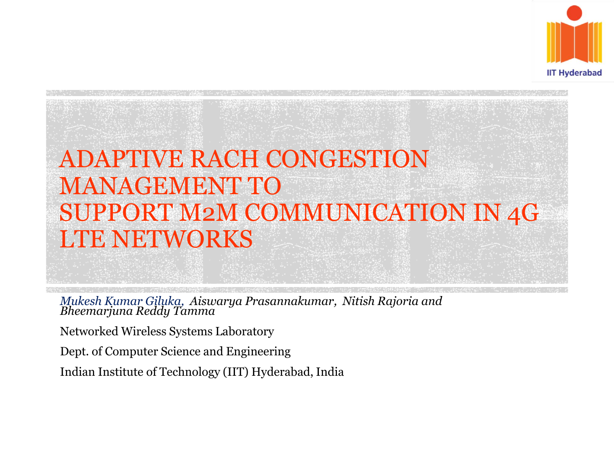

### ADAPTIVE RACH CONGESTION MANAGEMENT TO SUPPORT M2M COMMUNICATION IN 4G LTE NETWORKS

*Mukesh Kumar Giluka, Aiswarya Prasannakumar, Nitish Rajoria and Bheemarjuna Reddy Tamma*

Networked Wireless Systems Laboratory

Dept. of Computer Science and Engineering

Indian Institute of Technology (IIT) Hyderabad, India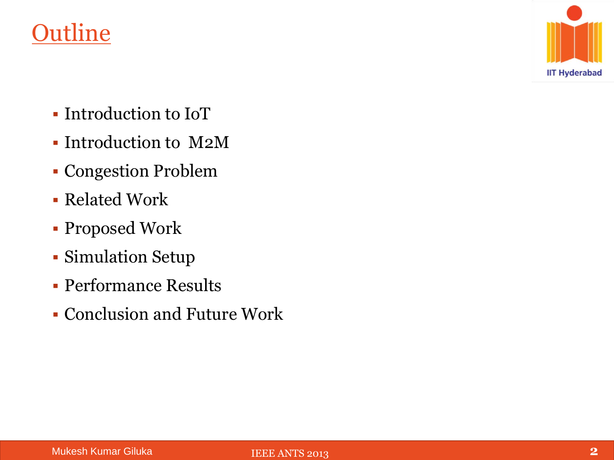#### **Outline**



- Introduction to IoT
- Introduction to M2M
- Congestion Problem
- Related Work
- Proposed Work
- Simulation Setup
- Performance Results
- Conclusion and Future Work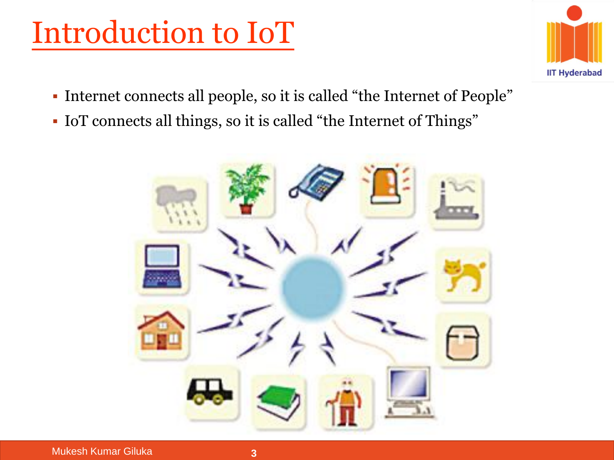## Introduction to IoT



- Internet connects all people, so it is called "the Internet of People"
- IoT connects all things, so it is called "the Internet of Things"

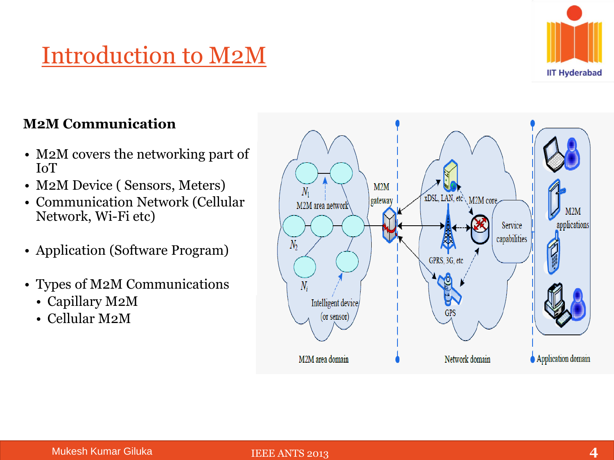#### Introduction to M2M



#### **M2M Communication**

- M2M covers the networking part of IoT
- M2M Device ( Sensors, Meters)
- Communication Network (Cellular Network, Wi-Fi etc)
- Application (Software Program)
- Types of M2M Communications
	- Capillary M2M
	- Cellular M2M

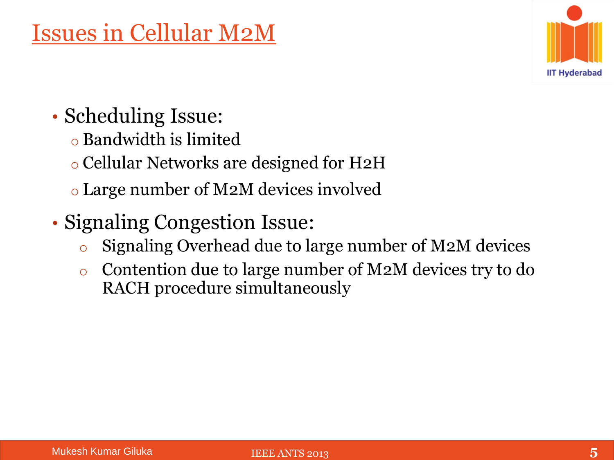

- Scheduling Issue:
	- o Bandwidth is limited
	- o Cellular Networks are designed for H2H
	- o Large number of M2M devices involved
- Signaling Congestion Issue:
	- o Signaling Overhead due to large number of M2M devices
	- o Contention due to large number of M2M devices try to do RACH procedure simultaneously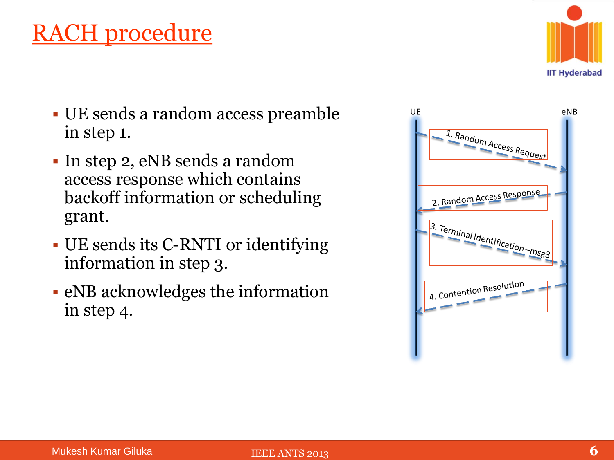#### RACH procedure



- UE sends a random access preamble in step 1.
- In step 2, eNB sends a random access response which contains backoff information or scheduling grant.
- UE sends its C-RNTI or identifying information in step 3.
- eNB acknowledges the information in step 4.

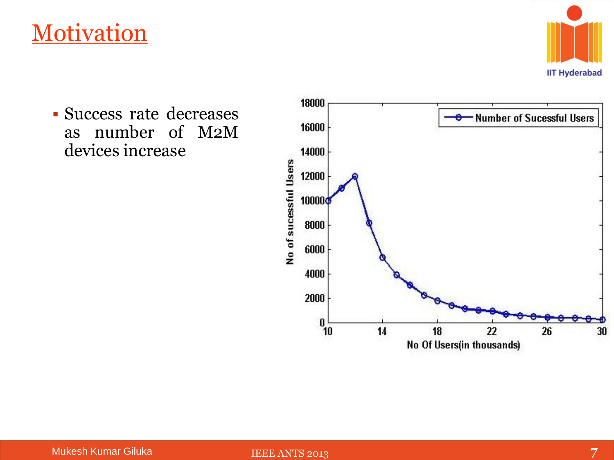#### **Motivation**



 Success rate decreases as number of M2M devices increase

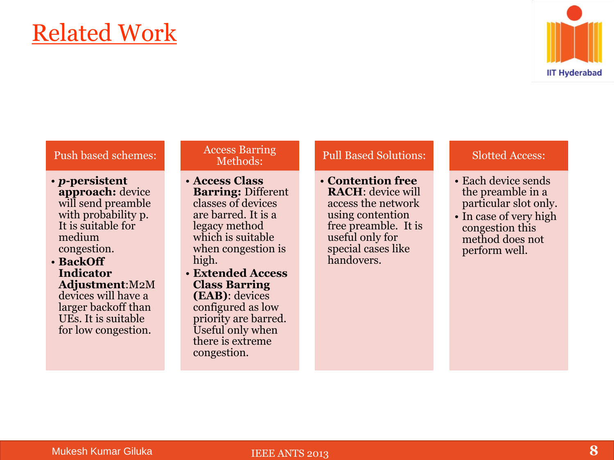### Related Work



#### Push based schemes:

• *p***-persistent approach:** device will send preamble with probability p. It is suitable for medium congestion.

#### • **BackOff Indicator Adjustment**:M2M

devices will have a larger backoff than UEs. It is suitable for low congestion.

#### Access Barring Methods:

- **Access Class Barring:** Different classes of devices are barred. It is a legacy method which is suitable when congestion is high.
- **Extended Access Class Barring (EAB)**: devices configured as low priority are barred. Useful only when there is extreme congestion.

#### Pull Based Solutions:

• **Contention free RACH**: device will access the network using contention free preamble. It is useful only for special cases like handovers.

#### Slotted Access:

- Each device sends the preamble in a particular slot only.
- In case of very high congestion this method does not perform well.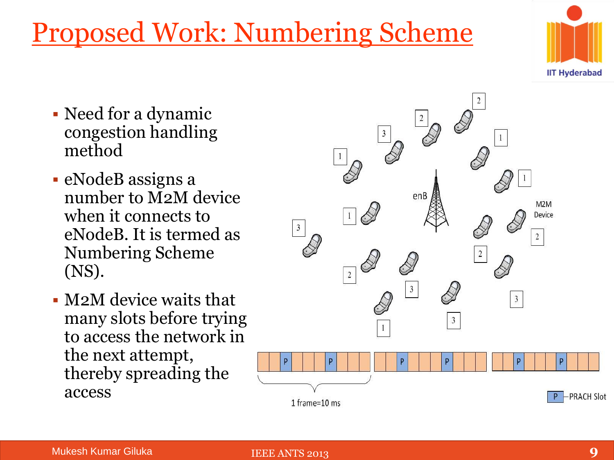### Proposed Work: Numbering Scheme

- Need for a dynamic congestion handling method
- eNodeB assigns a number to M2M device when it connects to eNodeB. It is termed as Numbering Scheme (NS).
- M2M device waits that many slots before trying to access the network in the next attempt, thereby spreading the access



P

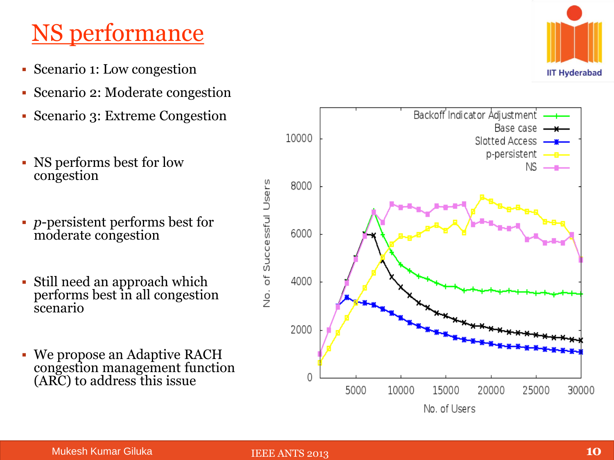### NS performance

- Scenario 1: Low congestion
- Scenario 2: Moderate congestion
- Scenario 3: Extreme Congestion
- NS performs best for low congestion
- *p*-persistent performs best for moderate congestion
- Still need an approach which performs best in all congestion scenario
- We propose an Adaptive RACH congestion management function (ARC) to address this issue



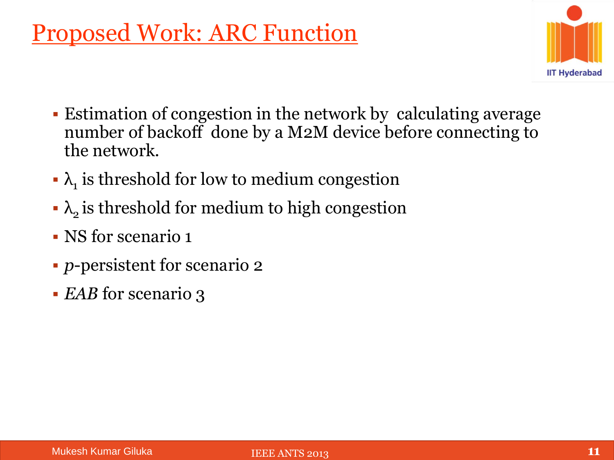### Proposed Work: ARC Function



- Estimation of congestion in the network by calculating average number of backoff done by a M2M device before connecting to the network.
- $\lambda_1$  is threshold for low to medium congestion
- $\lambda$ <sub>2</sub> is threshold for medium to high congestion
- NS for scenario 1
- *p*-persistent for scenario 2
- *EAB* for scenario 3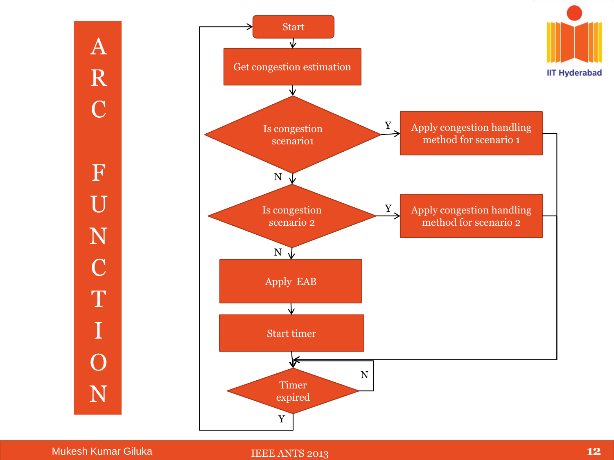

Mukesh Kumar Giluka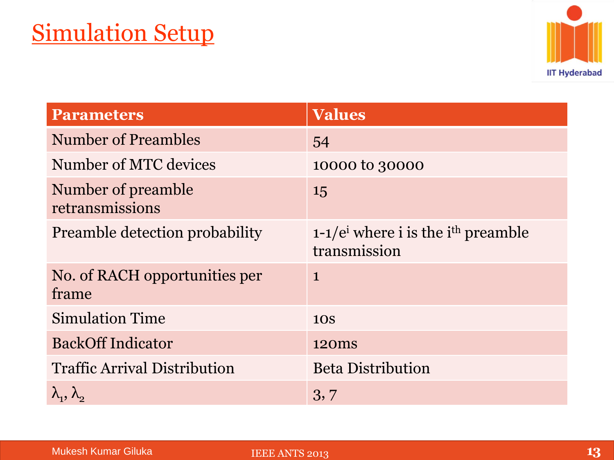

| <b>Parameters</b>                      | <b>Values</b>                                                 |
|----------------------------------------|---------------------------------------------------------------|
| <b>Number of Preambles</b>             | 54                                                            |
| Number of MTC devices                  | 10000 to 30000                                                |
| Number of preamble<br>retransmissions  | 15                                                            |
| <b>Preamble detection probability</b>  | 1-1/ $e^{i}$ where i is the $i^{th}$ preamble<br>transmission |
| No. of RACH opportunities per<br>frame | $\mathbf{1}$                                                  |
| <b>Simulation Time</b>                 | <b>10S</b>                                                    |
| <b>BackOff Indicator</b>               | 120 <sub>ms</sub>                                             |
| <b>Traffic Arrival Distribution</b>    | <b>Beta Distribution</b>                                      |
| $\lambda_1, \lambda_2$                 | 3, 7                                                          |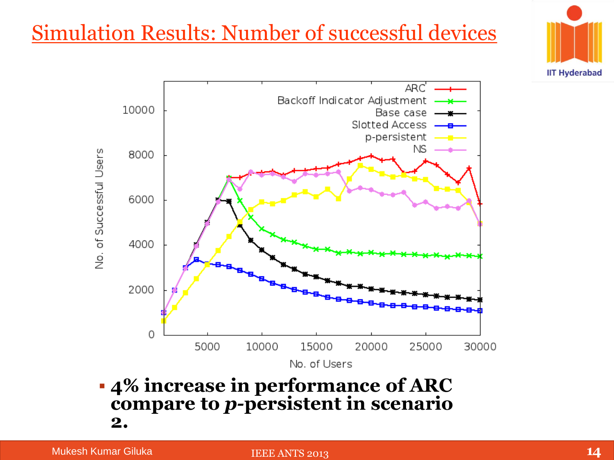#### Simulation Results: Number of successful devices





 **4% increase in performance of ARC compare to** *p-***persistent in scenario 2.**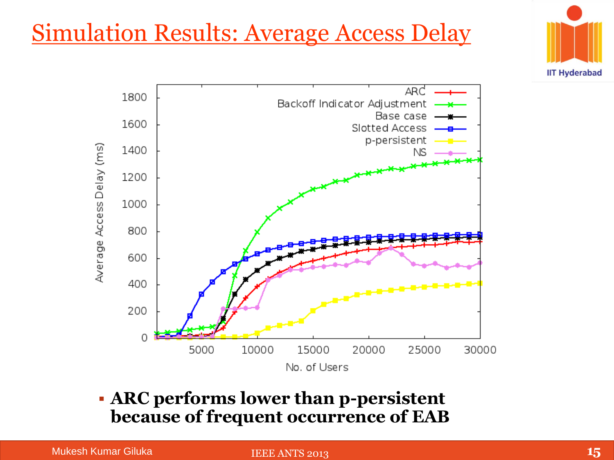### Simulation Results: Average Access Delay





#### **ARC performs lower than p-persistent because of frequent occurrence of EAB**

Mukesh Kumar Giluka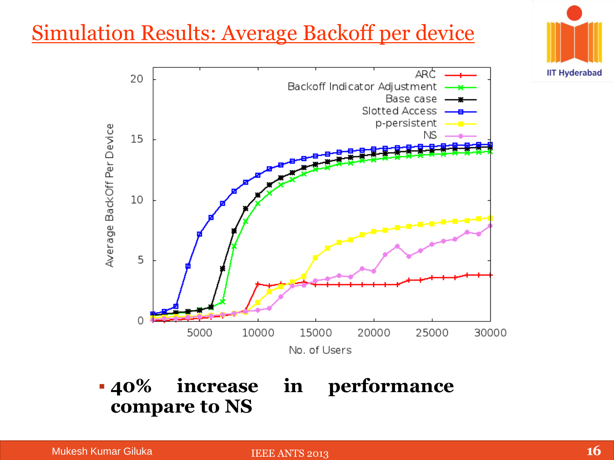#### Simulation Results: Average Backoff per device



 **40% increase in performance compare to NS**

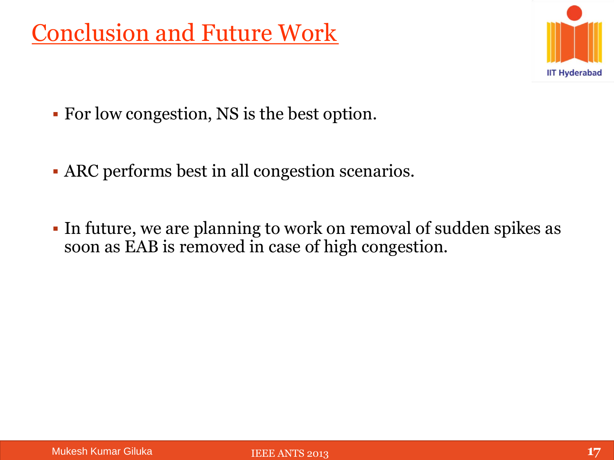### Conclusion and Future Work



- For low congestion, NS is the best option.
- ARC performs best in all congestion scenarios.
- In future, we are planning to work on removal of sudden spikes as soon as EAB is removed in case of high congestion.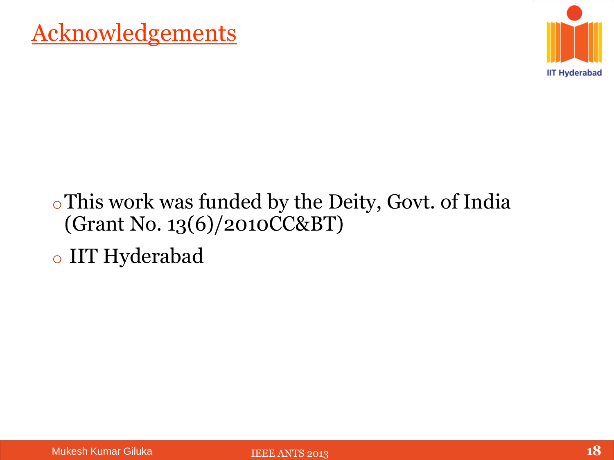

#### oThis work was funded by the Deity, Govt. of India (Grant No. 13(6)/2010CC&BT)

o IIT Hyderabad